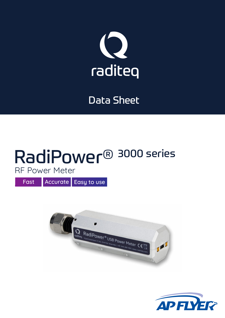

## Data Sheet

## RadiPower® 3000 series RF Power Meter

Fast **Accurate** Easy to use



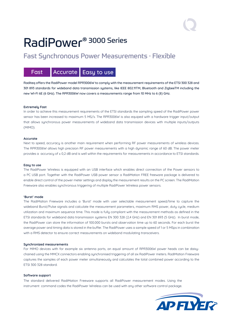# RadiPower® 3000 Series

### Fast Synchronous Power Measurements · Flexible

### Fast **Accurate** Easy to use

Raditeq offers the RadiPower model RPR3006W to comply with the measurement requirements of the ETSI 300 328 and 301 893 standards for wideband data transmission systems, like IEEE 802.11TM, Bluetooth and ZigbeeTM including the new WI-FI 6E (6 GHz). The RPR3006W now covers a measurements range from 10 MHz to 6 (8) GHz.

#### **Extremely Fast**

In order to achieve this measurement requirements of the ETSI standards the sampling speed of the RadiPower power sensor has been increased to maximum 5 MS/s. The RPR3006W is also equiped with a hardware trigger input/output that allows synchronous power measurements of wideband data transmission devices with multiple inputs/outputs (MIMO).

#### **Accurate**

Next to speed, accuracy is another main requirement when performing RF power measurements of wireless devices. The RPR3006W allows high precision RF power measurements with a high dunamic range of 60 dB. The power meter provides a accuracy of  $\pm$  0.2 dB and is well within the requirements for measurements in accordance to ETSI standards.

#### **Easy to use**

The RadiPower Wireless is equipped with an USB interface which enables direct connection of the Power sensors to a PC USB port. Together with the RadiPower USB power sensor a RadiMation FREE freeware package is delivered to enable direct control of the power meter settings and display the measurement results on the PC screen. The RadiMation Freeware also enables synchronous triggering of multiple RadiPower Wireless power sensors.

#### **'Burst' mode**

The RadiMation Freeware includes a 'Burst' mode with user selectable measurement speed/time to capture the wideband Burst/Pulse signals and calculate the measurement parameters, maximum RMS power, duty cycle, medium utilization and maximum sequence time. This mode is fully compliant with the measurement methods as defined in the ETSI standards for wideband data transmission systems EN 300 328 (2,4 GHz) and EN 301 893 (5 GHz). In burst mode, the RadiPower can store the information of 100.000 bursts and observation time up to 60 seconds. For each burst the average power and timing data is stored in the buffer. The RadiPower uses a sample speed of 1 or 5 MSps in combination with a RMS detector to ensure correct measurements on wideband modulating transceivers.

#### **Synchronized measurements**

For MIMO devices with for example six antenna ports, an equal amount of RPR3006W power heads can be daisychained using the MMCX connectors enabling synchronised triggering of all six RadiPower meters. RadiMation Freeware captures the samples of each power meter simultaneously and calculates the total combined power according to the ETSI 300 328 standard.

#### **Software support**

The standard delivered RadiMation Freeware supports all RadiPower measurement modes. Using the instrument command codes the RadiPower Wireless can be used with any other software control package.